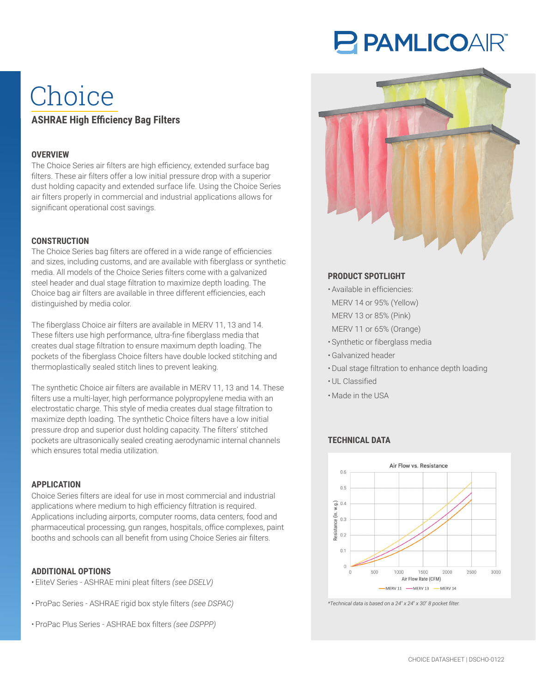# P PAMLICOAIR®

## Choice **ASHRAE High Efficiency Bag Filters**

#### **OVERVIEW**

The Choice Series air filters are high efficiency, extended surface bag filters. These air filters offer a low initial pressure drop with a superior dust holding capacity and extended surface life. Using the Choice Series air filters properly in commercial and industrial applications allows for significant operational cost savings.

#### **CONSTRUCTION**

The Choice Series bag filters are offered in a wide range of efficiencies and sizes, including customs, and are available with fiberglass or synthetic media. All models of the Choice Series filters come with a galvanized steel header and dual stage filtration to maximize depth loading. The Choice bag air filters are available in three different efficiencies, each distinguished by media color.

The fiberglass Choice air filters are available in MERV 11, 13 and 14. These filters use high performance, ultra-fine fiberglass media that creates dual stage filtration to ensure maximum depth loading. The pockets of the fiberglass Choice filters have double locked stitching and thermoplastically sealed stitch lines to prevent leaking.

The synthetic Choice air filters are available in MERV 11, 13 and 14. These filters use a multi-layer, high performance polypropylene media with an electrostatic charge. This style of media creates dual stage filtration to maximize depth loading. The synthetic Choice filters have a low initial pressure drop and superior dust holding capacity. The filters' stitched pockets are ultrasonically sealed creating aerodynamic internal channels which ensures total media utilization.

#### **APPLICATION**

Choice Series filters are ideal for use in most commercial and industrial applications where medium to high efficiency filtration is required. Applications including airports, computer rooms, data centers, food and pharmaceutical processing, gun ranges, hospitals, office complexes, paint booths and schools can all benefit from using Choice Series air filters.

#### **ADDITIONAL OPTIONS**

- EliteV Series ASHRAE mini pleat filters *(see DSELV)*
- ProPac Series ASHRAE rigid box style filters *(see DSPAC)*
- ProPac Plus Series ASHRAE box filters *(see DSPPP)*



#### **PRODUCT SPOTLIGHT**

- Available in efficiencies:
- MERV 14 or 95% (Yellow)
- MERV 13 or 85% (Pink)
- MERV 11 or 65% (Orange)
- Synthetic or fiberglass media
- Galvanized header
- Dual stage filtration to enhance depth loading
- UL Classified
- Made in the USA

#### **TECHNICAL DATA**



*\*Technical data is based on a 24*" *x 24*" *x 30*" *8 pocket filter.*